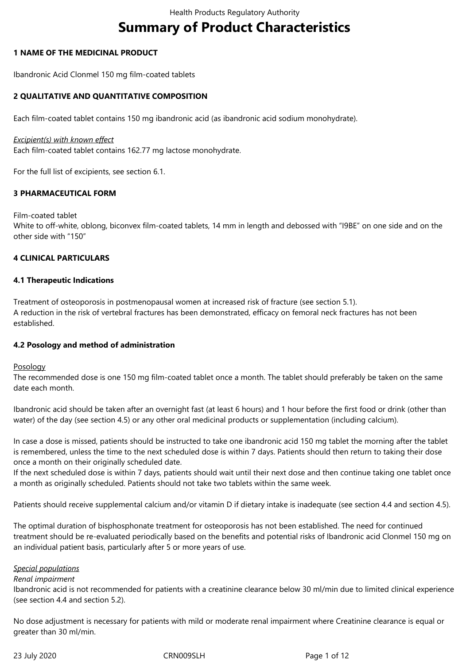# **Summary of Product Characteristics**

# **1 NAME OF THE MEDICINAL PRODUCT**

Ibandronic Acid Clonmel 150 mg film-coated tablets

# **2 QUALITATIVE AND QUANTITATIVE COMPOSITION**

Each film-coated tablet contains 150 mg ibandronic acid (as ibandronic acid sodium monohydrate).

#### *Excipient(s) with known effect*

Each film-coated tablet contains 162.77 mg lactose monohydrate.

For the full list of excipients, see section 6.1.

## **3 PHARMACEUTICAL FORM**

#### Film-coated tablet

White to off-white, oblong, biconvex film-coated tablets, 14 mm in length and debossed with "I9BE" on one side and on the other side with "150"

# **4 CLINICAL PARTICULARS**

## **4.1 Therapeutic Indications**

Treatment of osteoporosis in postmenopausal women at increased risk of fracture (see section 5.1). A reduction in the risk of vertebral fractures has been demonstrated, efficacy on femoral neck fractures has not been established.

# **4.2 Posology and method of administration**

#### Posology

The recommended dose is one 150 mg film-coated tablet once a month. The tablet should preferably be taken on the same date each month.

Ibandronic acid should be taken after an overnight fast (at least 6 hours) and 1 hour before the first food or drink (other than water) of the day (see section 4.5) or any other oral medicinal products or supplementation (including calcium).

In case a dose is missed, patients should be instructed to take one ibandronic acid 150 mg tablet the morning after the tablet is remembered, unless the time to the next scheduled dose is within 7 days. Patients should then return to taking their dose once a month on their originally scheduled date.

If the next scheduled dose is within 7 days, patients should wait until their next dose and then continue taking one tablet once a month as originally scheduled. Patients should not take two tablets within the same week.

Patients should receive supplemental calcium and/or vitamin D if dietary intake is inadequate (see section 4.4 and section 4.5).

The optimal duration of bisphosphonate treatment for osteoporosis has not been established. The need for continued treatment should be re-evaluated periodically based on the benefits and potential risks of Ibandronic acid Clonmel 150 mg on an individual patient basis, particularly after 5 or more years of use.

#### *Special populations*

## *Renal impairment*

Ibandronic acid is not recommended for patients with a creatinine clearance below 30 ml/min due to limited clinical experience (see section 4.4 and section 5.2).

No dose adjustment is necessary for patients with mild or moderate renal impairment where Creatinine clearance is equal or greater than 30 ml/min.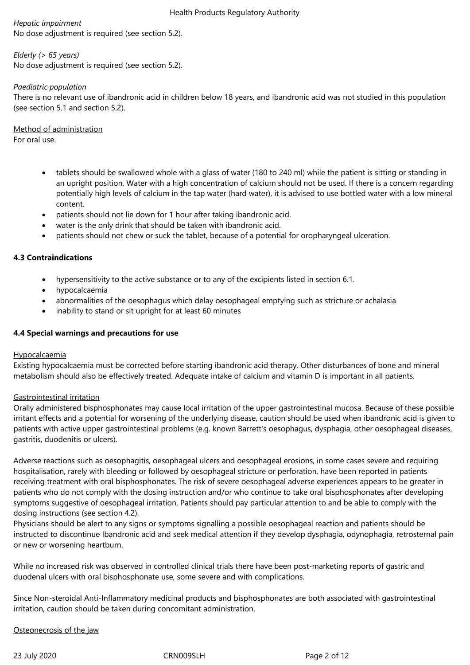*Hepatic impairment* No dose adjustment is required (see section 5.2).

# *Elderly (> 65 years)*

No dose adjustment is required (see section 5.2).

# *Paediatric population*

There is no relevant use of ibandronic acid in children below 18 years, and ibandronic acid was not studied in this population (see section 5.1 and section 5.2).

Method of administration For oral use.

- tablets should be swallowed whole with a glass of water (180 to 240 ml) while the patient is sitting or standing in an upright position. Water with a high concentration of calcium should not be used. If there is a concern regarding potentially high levels of calcium in the tap water (hard water), it is advised to use bottled water with a low mineral content.
- patients should not lie down for 1 hour after taking ibandronic acid.
- water is the only drink that should be taken with ibandronic acid.
- patients should not chew or suck the tablet, because of a potential for oropharyngeal ulceration.

# **4.3 Contraindications**

- hypersensitivity to the active substance or to any of the excipients listed in section 6.1.
- hypocalcaemia
- abnormalities of the oesophagus which delay oesophageal emptying such as stricture or achalasia
- inability to stand or sit upright for at least 60 minutes

# **4.4 Special warnings and precautions for use**

#### **Hypocalcaemia**

Existing hypocalcaemia must be corrected before starting ibandronic acid therapy. Other disturbances of bone and mineral metabolism should also be effectively treated. Adequate intake of calcium and vitamin D is important in all patients.

# Gastrointestinal irritation

Orally administered bisphosphonates may cause local irritation of the upper gastrointestinal mucosa. Because of these possible irritant effects and a potential for worsening of the underlying disease, caution should be used when ibandronic acid is given to patients with active upper gastrointestinal problems (e.g. known Barrett's oesophagus, dysphagia, other oesophageal diseases, gastritis, duodenitis or ulcers).

Adverse reactions such as oesophagitis, oesophageal ulcers and oesophageal erosions, in some cases severe and requiring hospitalisation, rarely with bleeding or followed by oesophageal stricture or perforation, have been reported in patients receiving treatment with oral bisphosphonates. The risk of severe oesophageal adverse experiences appears to be greater in patients who do not comply with the dosing instruction and/or who continue to take oral bisphosphonates after developing symptoms suggestive of oesophageal irritation. Patients should pay particular attention to and be able to comply with the dosing instructions (see section 4.2).

Physicians should be alert to any signs or symptoms signalling a possible oesophageal reaction and patients should be instructed to discontinue Ibandronic acid and seek medical attention if they develop dysphagia, odynophagia, retrosternal pain or new or worsening heartburn.

While no increased risk was observed in controlled clinical trials there have been post-marketing reports of gastric and duodenal ulcers with oral bisphosphonate use, some severe and with complications.

Since Non-steroidal Anti-Inflammatory medicinal products and bisphosphonates are both associated with gastrointestinal irritation, caution should be taken during concomitant administration.

Osteonecrosis of the jaw

23 July 2020 CRN009SLH Page 2 of 12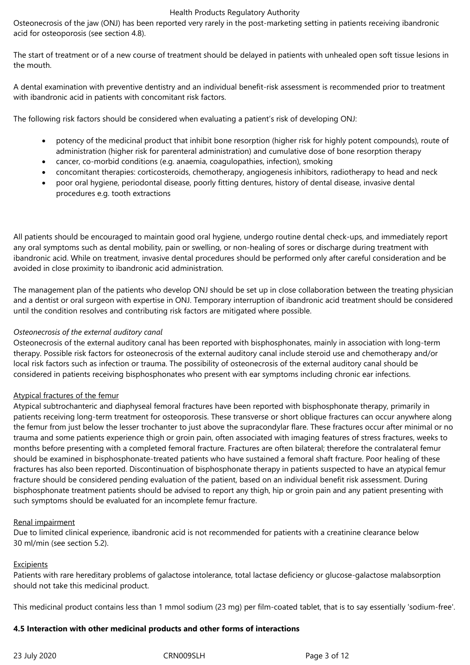Osteonecrosis of the jaw (ONJ) has been reported very rarely in the post-marketing setting in patients receiving ibandronic acid for osteoporosis (see section 4.8).

The start of treatment or of a new course of treatment should be delayed in patients with unhealed open soft tissue lesions in the mouth.

A dental examination with preventive dentistry and an individual benefit-risk assessment is recommended prior to treatment with ibandronic acid in patients with concomitant risk factors.

The following risk factors should be considered when evaluating a patient's risk of developing ONJ:

- potency of the medicinal product that inhibit bone resorption (higher risk for highly potent compounds), route of administration (higher risk for parenteral administration) and cumulative dose of bone resorption therapy
- cancer, co-morbid conditions (e.g. anaemia, coagulopathies, infection), smoking
- concomitant therapies: corticosteroids, chemotherapy, angiogenesis inhibitors, radiotherapy to head and neck
- poor oral hygiene, periodontal disease, poorly fitting dentures, history of dental disease, invasive dental procedures e.g. tooth extractions

All patients should be encouraged to maintain good oral hygiene, undergo routine dental check-ups, and immediately report any oral symptoms such as dental mobility, pain or swelling, or non-healing of sores or discharge during treatment with ibandronic acid. While on treatment, invasive dental procedures should be performed only after careful consideration and be avoided in close proximity to ibandronic acid administration.

The management plan of the patients who develop ONJ should be set up in close collaboration between the treating physician and a dentist or oral surgeon with expertise in ONJ. Temporary interruption of ibandronic acid treatment should be considered until the condition resolves and contributing risk factors are mitigated where possible.

## *Osteonecrosis of the external auditory canal*

Osteonecrosis of the external auditory canal has been reported with bisphosphonates, mainly in association with long-term therapy. Possible risk factors for osteonecrosis of the external auditory canal include steroid use and chemotherapy and/or local risk factors such as infection or trauma. The possibility of osteonecrosis of the external auditory canal should be considered in patients receiving bisphosphonates who present with ear symptoms including chronic ear infections.

#### Atypical fractures of the femur

Atypical subtrochanteric and diaphyseal femoral fractures have been reported with bisphosphonate therapy, primarily in patients receiving long-term treatment for osteoporosis. These transverse or short oblique fractures can occur anywhere along the femur from just below the lesser trochanter to just above the supracondylar flare. These fractures occur after minimal or no trauma and some patients experience thigh or groin pain, often associated with imaging features of stress fractures, weeks to months before presenting with a completed femoral fracture. Fractures are often bilateral; therefore the contralateral femur should be examined in bisphosphonate-treated patients who have sustained a femoral shaft fracture. Poor healing of these fractures has also been reported. Discontinuation of bisphosphonate therapy in patients suspected to have an atypical femur fracture should be considered pending evaluation of the patient, based on an individual benefit risk assessment. During bisphosphonate treatment patients should be advised to report any thigh, hip or groin pain and any patient presenting with such symptoms should be evaluated for an incomplete femur fracture.

#### Renal impairment

Due to limited clinical experience, ibandronic acid is not recommended for patients with a creatinine clearance below 30 ml/min (see section 5.2).

#### Excipients

Patients with rare hereditary problems of galactose intolerance, total lactase deficiency or glucose-galactose malabsorption should not take this medicinal product.

This medicinal product contains less than 1 mmol sodium (23 mg) per film-coated tablet, that is to say essentially 'sodium-free'.

#### **4.5 Interaction with other medicinal products and other forms of interactions**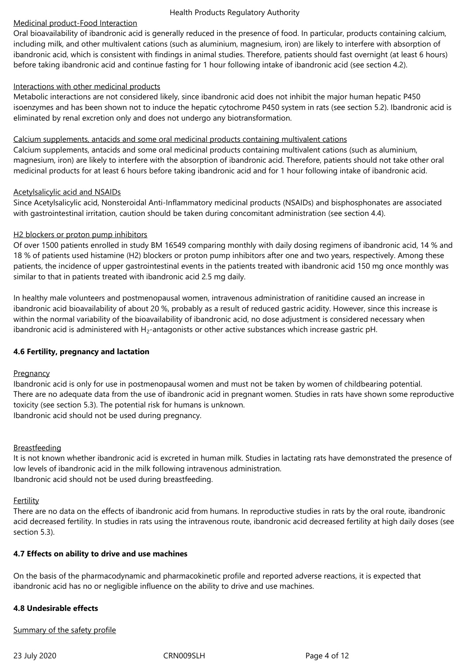# Medicinal product-Food Interaction

Oral bioavailability of ibandronic acid is generally reduced in the presence of food. In particular, products containing calcium, including milk, and other multivalent cations (such as aluminium, magnesium, iron) are likely to interfere with absorption of ibandronic acid, which is consistent with findings in animal studies. Therefore, patients should fast overnight (at least 6 hours) before taking ibandronic acid and continue fasting for 1 hour following intake of ibandronic acid (see section 4.2).

## Interactions with other medicinal products

Metabolic interactions are not considered likely, since ibandronic acid does not inhibit the major human hepatic P450 isoenzymes and has been shown not to induce the hepatic cytochrome P450 system in rats (see section 5.2). Ibandronic acid is eliminated by renal excretion only and does not undergo any biotransformation.

## Calcium supplements, antacids and some oral medicinal products containing multivalent cations

Calcium supplements, antacids and some oral medicinal products containing multivalent cations (such as aluminium, magnesium, iron) are likely to interfere with the absorption of ibandronic acid. Therefore, patients should not take other oral medicinal products for at least 6 hours before taking ibandronic acid and for 1 hour following intake of ibandronic acid.

## Acetylsalicylic acid and NSAIDs

Since Acetylsalicylic acid, Nonsteroidal Anti-Inflammatory medicinal products (NSAIDs) and bisphosphonates are associated with gastrointestinal irritation, caution should be taken during concomitant administration (see section 4.4).

# H<sub>2</sub> blockers or proton pump inhibitors

Of over 1500 patients enrolled in study BM 16549 comparing monthly with daily dosing regimens of ibandronic acid, 14 % and 18 % of patients used histamine (H2) blockers or proton pump inhibitors after one and two years, respectively. Among these patients, the incidence of upper gastrointestinal events in the patients treated with ibandronic acid 150 mg once monthly was similar to that in patients treated with ibandronic acid 2.5 mg daily.

In healthy male volunteers and postmenopausal women, intravenous administration of ranitidine caused an increase in ibandronic acid bioavailability of about 20 %, probably as a result of reduced gastric acidity. However, since this increase is within the normal variability of the bioavailability of ibandronic acid, no dose adjustment is considered necessary when ibandronic acid is administered with  $H_2$ -antagonists or other active substances which increase gastric pH.

# **4.6 Fertility, pregnancy and lactation**

# **Pregnancy**

Ibandronic acid is only for use in postmenopausal women and must not be taken by women of childbearing potential. There are no adequate data from the use of ibandronic acid in pregnant women. Studies in rats have shown some reproductive toxicity (see section 5.3). The potential risk for humans is unknown. Ibandronic acid should not be used during pregnancy.

#### Breastfeeding

It is not known whether ibandronic acid is excreted in human milk. Studies in lactating rats have demonstrated the presence of low levels of ibandronic acid in the milk following intravenous administration. Ibandronic acid should not be used during breastfeeding.

#### **Fertility**

There are no data on the effects of ibandronic acid from humans. In reproductive studies in rats by the oral route, ibandronic acid decreased fertility. In studies in rats using the intravenous route, ibandronic acid decreased fertility at high daily doses (see section 5.3).

# **4.7 Effects on ability to drive and use machines**

On the basis of the pharmacodynamic and pharmacokinetic profile and reported adverse reactions, it is expected that ibandronic acid has no or negligible influence on the ability to drive and use machines.

#### **4.8 Undesirable effects**

#### Summary of the safety profile

23 July 2020 CRN009SLH Page 4 of 12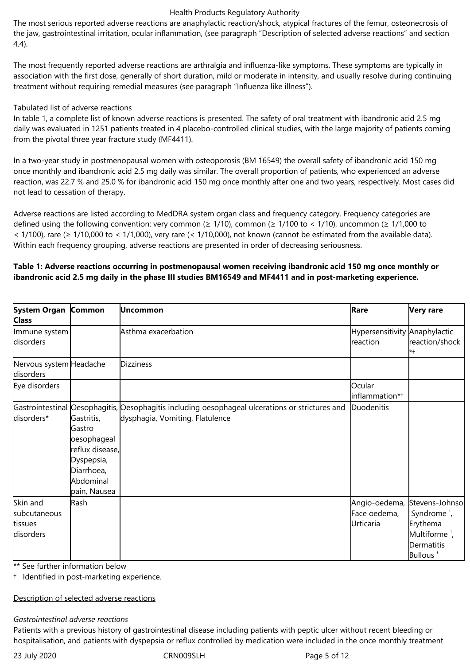The most serious reported adverse reactions are anaphylactic reaction/shock, atypical fractures of the femur, osteonecrosis of the jaw, gastrointestinal irritation, ocular inflammation, (see paragraph "Description of selected adverse reactions" and section 4.4).

The most frequently reported adverse reactions are arthralgia and influenza-like symptoms. These symptoms are typically in association with the first dose, generally of short duration, mild or moderate in intensity, and usually resolve during continuing treatment without requiring remedial measures (see paragraph "Influenza like illness").

## Tabulated list of adverse reactions

In table 1, a complete list of known adverse reactions is presented. The safety of oral treatment with ibandronic acid 2.5 mg daily was evaluated in 1251 patients treated in 4 placebo-controlled clinical studies, with the large majority of patients coming from the pivotal three year fracture study (MF4411).

In a two-year study in postmenopausal women with osteoporosis (BM 16549) the overall safety of ibandronic acid 150 mg once monthly and ibandronic acid 2.5 mg daily was similar. The overall proportion of patients, who experienced an adverse reaction, was 22.7 % and 25.0 % for ibandronic acid 150 mg once monthly after one and two years, respectively. Most cases did not lead to cessation of therapy.

Adverse reactions are listed according to MedDRA system organ class and frequency category. Frequency categories are defined using the following convention: very common ( $\geq 1/10$ ), common ( $\geq 1/100$  to < 1/10), uncommon ( $\geq 1/1,000$  to  $<$  1/100), rare ( $\ge$  1/10,000 to  $<$  1/1,000), very rare ( $<$  1/10,000), not known (cannot be estimated from the available data). Within each frequency grouping, adverse reactions are presented in order of decreasing seriousness.

## **Table 1: Adverse reactions occurring in postmenopausal women receiving ibandronic acid 150 mg once monthly or ibandronic acid 2.5 mg daily in the phase III studies BM16549 and MF4411 and in post-marketing experience.**

| System Organ Common<br><b>Class</b>  |                                                                                                                 | Uncommon                                                                                                                           | Rare                                      | <b>Very rare</b>                                                            |
|--------------------------------------|-----------------------------------------------------------------------------------------------------------------|------------------------------------------------------------------------------------------------------------------------------------|-------------------------------------------|-----------------------------------------------------------------------------|
| Immune system<br>disorders           |                                                                                                                 | Asthma exacerbation                                                                                                                | Hypersensitivity Anaphylactic<br>reaction | reaction/shock<br>*+                                                        |
| Nervous system Headache<br>disorders |                                                                                                                 | <b>Dizziness</b>                                                                                                                   |                                           |                                                                             |
| Eye disorders                        |                                                                                                                 |                                                                                                                                    | Ocular<br>inflammation*+                  |                                                                             |
| disorders*                           | Gastritis,<br>Gastro<br>oesophageal<br>reflux disease,<br>Dyspepsia,<br>Diarrhoea,<br>Abdominal<br>pain, Nausea | Gastrointestinal Oesophagitis, Oesophagitis including oesophageal ulcerations or strictures and<br>dysphagia, Vomiting, Flatulence | Duodenitis                                |                                                                             |
| Skin and<br>subcutaneous             | Rash                                                                                                            |                                                                                                                                    | Angio-oedema,<br>Face oedema,             | Stevens-Johnso<br>Syndrome <sup>+</sup> ,                                   |
| tissues<br>disorders                 |                                                                                                                 |                                                                                                                                    | Urticaria                                 | Erythema<br>Multiforme <sup>+</sup> ,<br>Dermatitis<br>Bullous <sup>+</sup> |

\*\* See further information below

† Identified in post-marketing experience.

Description of selected adverse reactions

#### *Gastrointestinal adverse reactions*

Patients with a previous history of gastrointestinal disease including patients with peptic ulcer without recent bleeding or hospitalisation, and patients with dyspepsia or reflux controlled by medication were included in the once monthly treatment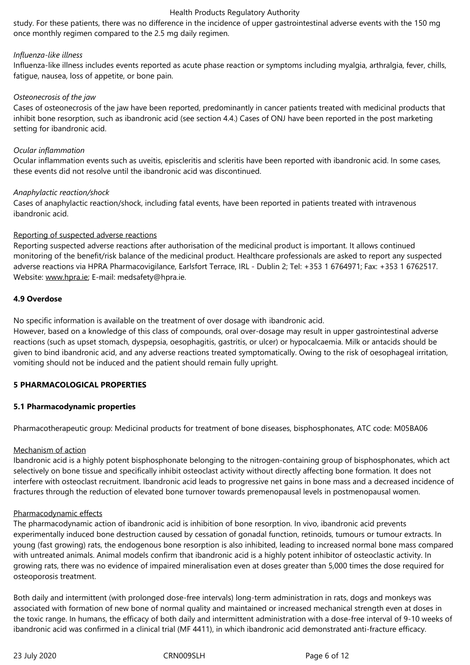study. For these patients, there was no difference in the incidence of upper gastrointestinal adverse events with the 150 mg once monthly regimen compared to the 2.5 mg daily regimen.

#### *Influenza-like illness*

Influenza-like illness includes events reported as acute phase reaction or symptoms including myalgia, arthralgia, fever, chills, fatigue, nausea, loss of appetite, or bone pain.

#### *Osteonecrosis of the jaw*

Cases of osteonecrosis of the jaw have been reported, predominantly in cancer patients treated with medicinal products that inhibit bone resorption, such as ibandronic acid (see section 4.4.) Cases of ONJ have been reported in the post marketing setting for ibandronic acid.

#### *Ocular inflammation*

Ocular inflammation events such as uveitis, episcleritis and scleritis have been reported with ibandronic acid. In some cases, these events did not resolve until the ibandronic acid was discontinued.

#### *Anaphylactic reaction/shock*

Cases of anaphylactic reaction/shock, including fatal events, have been reported in patients treated with intravenous ibandronic acid.

#### Reporting of suspected adverse reactions

Reporting suspected adverse reactions after authorisation of the medicinal product is important. It allows continued monitoring of the benefit/risk balance of the medicinal product. Healthcare professionals are asked to report any suspected adverse reactions via HPRA Pharmacovigilance, Earlsfort Terrace, IRL - Dublin 2; Tel: +353 1 6764971; Fax: +353 1 6762517. Website: www.hpra.ie; E-mail: medsafety@hpra.ie.

#### **4.9 Overdose**

No specific information is available on the treatment of over dosage with ibandronic acid.

However, based on a knowledge of this class of compounds, oral over-dosage may result in upper gastrointestinal adverse reactions (such as upset stomach, dyspepsia, oesophagitis, gastritis, or ulcer) or hypocalcaemia. Milk or antacids should be given to bind ibandronic acid, and any adverse reactions treated symptomatically. Owing to the risk of oesophageal irritation, vomiting should not be induced and the patient should remain fully upright.

# **5 PHARMACOLOGICAL PROPERTIES**

#### **5.1 Pharmacodynamic properties**

Pharmacotherapeutic group: Medicinal products for treatment of bone diseases, bisphosphonates, ATC code: M05BA06

#### Mechanism of action

Ibandronic acid is a highly potent bisphosphonate belonging to the nitrogen-containing group of bisphosphonates, which act selectively on bone tissue and specifically inhibit osteoclast activity without directly affecting bone formation. It does not interfere with osteoclast recruitment. Ibandronic acid leads to progressive net gains in bone mass and a decreased incidence of fractures through the reduction of elevated bone turnover towards premenopausal levels in postmenopausal women.

#### Pharmacodynamic effects

The pharmacodynamic action of ibandronic acid is inhibition of bone resorption. In vivo, ibandronic acid prevents experimentally induced bone destruction caused by cessation of gonadal function, retinoids, tumours or tumour extracts. In young (fast growing) rats, the endogenous bone resorption is also inhibited, leading to increased normal bone mass compared with untreated animals. Animal models confirm that ibandronic acid is a highly potent inhibitor of osteoclastic activity. In growing rats, there was no evidence of impaired mineralisation even at doses greater than 5,000 times the dose required for osteoporosis treatment.

Both daily and intermittent (with prolonged dose-free intervals) long-term administration in rats, dogs and monkeys was associated with formation of new bone of normal quality and maintained or increased mechanical strength even at doses in the toxic range. In humans, the efficacy of both daily and intermittent administration with a dose-free interval of 9-10 weeks of ibandronic acid was confirmed in a clinical trial (MF 4411), in which ibandronic acid demonstrated anti-fracture efficacy.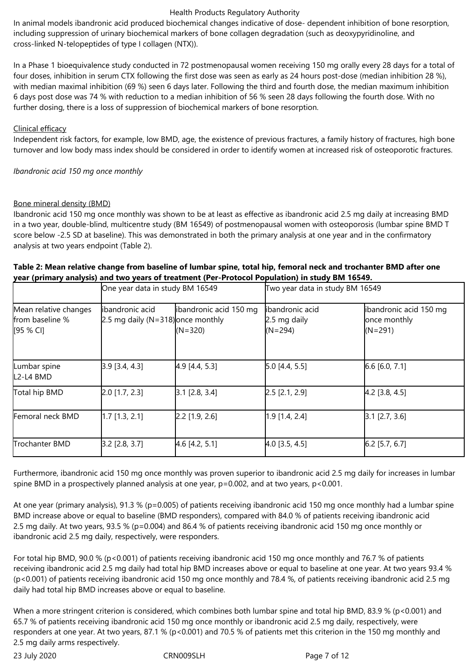In animal models ibandronic acid produced biochemical changes indicative of dose- dependent inhibition of bone resorption, including suppression of urinary biochemical markers of bone collagen degradation (such as deoxypyridinoline, and cross-linked N-telopeptides of type I collagen (NTX)).

In a Phase 1 bioequivalence study conducted in 72 postmenopausal women receiving 150 mg orally every 28 days for a total of four doses, inhibition in serum CTX following the first dose was seen as early as 24 hours post-dose (median inhibition 28 %), with median maximal inhibition (69 %) seen 6 days later. Following the third and fourth dose, the median maximum inhibition 6 days post dose was 74 % with reduction to a median inhibition of 56 % seen 28 days following the fourth dose. With no further dosing, there is a loss of suppression of biochemical markers of bone resorption.

## Clinical efficacy

Independent risk factors, for example, low BMD, age, the existence of previous fractures, a family history of fractures, high bone turnover and low body mass index should be considered in order to identify women at increased risk of osteoporotic fractures.

*Ibandronic acid 150 mg once monthly*

## Bone mineral density (BMD)

Ibandronic acid 150 mg once monthly was shown to be at least as effective as ibandronic acid 2.5 mg daily at increasing BMD in a two year, double-blind, multicentre study (BM 16549) of postmenopausal women with osteoporosis (lumbar spine BMD T score below -2.5 SD at baseline). This was demonstrated in both the primary analysis at one year and in the confirmatory analysis at two years endpoint (Table 2).

# **Table 2: Mean relative change from baseline of lumbar spine, total hip, femoral neck and trochanter BMD after one year (primary analysis) and two years of treatment (Per-Protocol Population) in study BM 16549.**

|                                                       | One year data in study BM 16549                                   |                                     | Two year data in study BM 16549               |                                                     |
|-------------------------------------------------------|-------------------------------------------------------------------|-------------------------------------|-----------------------------------------------|-----------------------------------------------------|
| Mean relative changes<br>from baseline %<br>[95 % CI] | libandronic acid<br>$[2.5 \text{ mg daily} (N=318)]$ once monthly | ibandronic acid 150 mg<br>$(N=320)$ | libandronic acid<br>2.5 mg daily<br>$(N=294)$ | ibandronic acid 150 mg<br>once monthly<br>$(N=291)$ |
| Lumbar spine<br>ll2-l4 BMD                            | [3.9 [3.4, 4.3]                                                   | $4.9$ [4.4, 5.3]                    | [5.0 [4.4, 5.5]                               | [6.6 [6.0, 7.1]                                     |
| Total hip BMD                                         | [2.0 [1.7, 2.3]                                                   | [3.1 [2.8, 3.4]                     | [2.5 [2.1, 2.9]                               | $[4.2$ [3.8, 4.5]                                   |
| Femoral neck BMD                                      | [1.7 [1.3, 2.1]                                                   | [2.2 [1.9, 2.6]                     | [1.9 [1.4, 2.4]                               | [3.1 [2.7, 3.6]                                     |
| Trochanter BMD                                        | [3.2 [2.8, 3.7]                                                   | $4.6$ [4.2, 5.1]                    | [4.0 [3.5, 4.5]                               | $[6.2$ [5.7, 6.7]                                   |

Furthermore, ibandronic acid 150 mg once monthly was proven superior to ibandronic acid 2.5 mg daily for increases in lumbar spine BMD in a prospectively planned analysis at one year,  $p=0.002$ , and at two years,  $p<0.001$ .

At one year (primary analysis), 91.3 % (p=0.005) of patients receiving ibandronic acid 150 mg once monthly had a lumbar spine BMD increase above or equal to baseline (BMD responders), compared with 84.0 % of patients receiving ibandronic acid 2.5 mg daily. At two years, 93.5 % (p=0.004) and 86.4 % of patients receiving ibandronic acid 150 mg once monthly or ibandronic acid 2.5 mg daily, respectively, were responders.

For total hip BMD, 90.0 % (p<0.001) of patients receiving ibandronic acid 150 mg once monthly and 76.7 % of patients receiving ibandronic acid 2.5 mg daily had total hip BMD increases above or equal to baseline at one year. At two years 93.4 % (p<0.001) of patients receiving ibandronic acid 150 mg once monthly and 78.4 %, of patients receiving ibandronic acid 2.5 mg daily had total hip BMD increases above or equal to baseline.

When a more stringent criterion is considered, which combines both lumbar spine and total hip BMD, 83.9 % (p<0.001) and 65.7 % of patients receiving ibandronic acid 150 mg once monthly or ibandronic acid 2.5 mg daily, respectively, were responders at one year. At two years, 87.1 % (p<0.001) and 70.5 % of patients met this criterion in the 150 mg monthly and 2.5 mg daily arms respectively.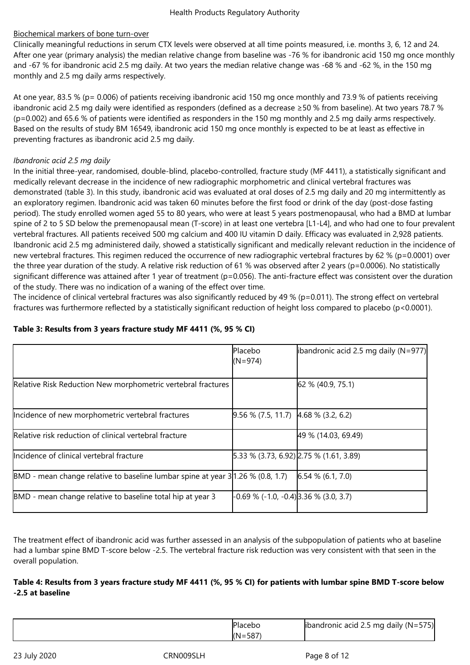# Biochemical markers of bone turn-over

Clinically meaningful reductions in serum CTX levels were observed at all time points measured, i.e. months 3, 6, 12 and 24. After one year (primary analysis) the median relative change from baseline was -76 % for ibandronic acid 150 mg once monthly and -67 % for ibandronic acid 2.5 mg daily. At two years the median relative change was -68 % and -62 %, in the 150 mg monthly and 2.5 mg daily arms respectively.

At one year, 83.5 % (p= 0.006) of patients receiving ibandronic acid 150 mg once monthly and 73.9 % of patients receiving ibandronic acid 2.5 mg daily were identified as responders (defined as a decrease ≥50 % from baseline). At two years 78.7 % (p=0.002) and 65.6 % of patients were identified as responders in the 150 mg monthly and 2.5 mg daily arms respectively. Based on the results of study BM 16549, ibandronic acid 150 mg once monthly is expected to be at least as effective in preventing fractures as ibandronic acid 2.5 mg daily.

# *Ibandronic acid 2.5 mg daily*

In the initial three-year, randomised, double-blind, placebo-controlled, fracture study (MF 4411), a statistically significant and medically relevant decrease in the incidence of new radiographic morphometric and clinical vertebral fractures was demonstrated (table 3). In this study, ibandronic acid was evaluated at oral doses of 2.5 mg daily and 20 mg intermittently as an exploratory regimen. Ibandronic acid was taken 60 minutes before the first food or drink of the day (post-dose fasting period). The study enrolled women aged 55 to 80 years, who were at least 5 years postmenopausal, who had a BMD at lumbar spine of 2 to 5 SD below the premenopausal mean (T-score) in at least one vertebra [L1-L4], and who had one to four prevalent vertebral fractures. All patients received 500 mg calcium and 400 IU vitamin D daily. Efficacy was evaluated in 2,928 patients. Ibandronic acid 2.5 mg administered daily, showed a statistically significant and medically relevant reduction in the incidence of new vertebral fractures. This regimen reduced the occurrence of new radiographic vertebral fractures by 62 % (p=0.0001) over the three year duration of the study. A relative risk reduction of 61 % was observed after 2 years (p=0.0006). No statistically significant difference was attained after 1 year of treatment (p=0.056). The anti-fracture effect was consistent over the duration of the study. There was no indication of a waning of the effect over time.

The incidence of clinical vertebral fractures was also significantly reduced by 49 % (p=0.011). The strong effect on vertebral fractures was furthermore reflected by a statistically significant reduction of height loss compared to placebo (p<0.0001).

|                                                                                        | Placebo<br>$(N=974)$                         | ibandronic acid 2.5 mg daily (N=977)                 |
|----------------------------------------------------------------------------------------|----------------------------------------------|------------------------------------------------------|
| Relative Risk Reduction New morphometric vertebral fractures                           |                                              | 62 % (40.9, 75.1)                                    |
| Incidence of new morphometric vertebral fractures                                      | $[9.56\% (7.5, 11.7)$ 4.68 % (3.2, 6.2)      |                                                      |
| Relative risk reduction of clinical vertebral fracture                                 |                                              | 49 % (14.03, 69.49)                                  |
| Incidence of clinical vertebral fracture                                               |                                              | $[5.33 \times (3.73, 6.92)]2.75 \times (1.61, 3.89)$ |
| BMD - mean change relative to baseline lumbar spine at year $3 1.26 \times (0.8, 1.7)$ |                                              | $6.54\%$ (6.1, 7.0)                                  |
| BMD - mean change relative to baseline total hip at year 3                             | $-0.69$ % ( $-1.0, -0.4$ ) 3.36 % (3.0, 3.7) |                                                      |

# **Table 3: Results from 3 years fracture study MF 4411 (%, 95 % CI)**

The treatment effect of ibandronic acid was further assessed in an analysis of the subpopulation of patients who at baseline had a lumbar spine BMD T-score below -2.5. The vertebral fracture risk reduction was very consistent with that seen in the overall population.

# **Table 4: Results from 3 years fracture study MF 4411 (%, 95 % CI) for patients with lumbar spine BMD T-score below -2.5 at baseline**

| rebu                  | ibandronic acid 2.5 mg daily ( $N = 575$ ) |
|-----------------------|--------------------------------------------|
| $-0.7$<br>(N<br>- 587 |                                            |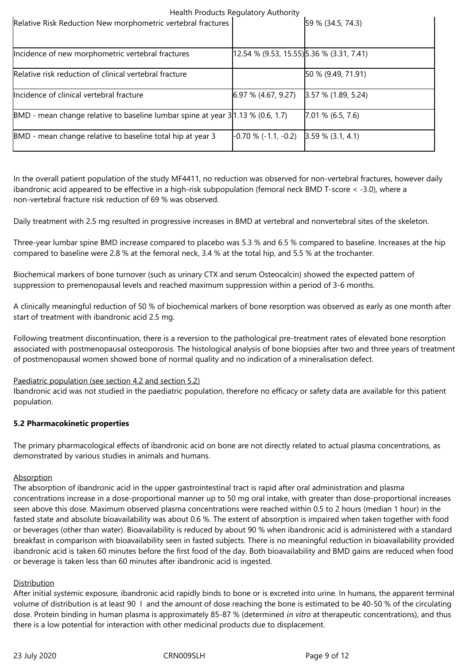|                                                                                      | Prediction required in the research of the second second in the second second in the second second in the second second in the second second second in the second second second second second second second second second seco |                       |
|--------------------------------------------------------------------------------------|--------------------------------------------------------------------------------------------------------------------------------------------------------------------------------------------------------------------------------|-----------------------|
| Relative Risk Reduction New morphometric vertebral fractures                         |                                                                                                                                                                                                                                | 59 % (34.5, 74.3)     |
|                                                                                      |                                                                                                                                                                                                                                |                       |
| Incidence of new morphometric vertebral fractures                                    | $[12.54 \times (9.53, 15.55)]$ 5.36 % (3.31, 7.41)                                                                                                                                                                             |                       |
| Relative risk reduction of clinical vertebral fracture                               |                                                                                                                                                                                                                                | 50 % (9.49, 71.91)    |
| Incidence of clinical vertebral fracture                                             | $6.97\%$ (4.67, 9.27)                                                                                                                                                                                                          | $3.57$ % (1.89, 5.24) |
| $ BMD -$ mean change relative to baseline lumbar spine at year 3   1.13 % (0.6, 1.7) |                                                                                                                                                                                                                                | $7.01\%$ (6.5, 7.6)   |
| BMD - mean change relative to baseline total hip at year 3                           | $\left[-0.70\%(-1.1,-0.2)\right]$ $\left[3.59\%(3.1,4.1)\right]$                                                                                                                                                               |                       |

In the overall patient population of the study MF4411, no reduction was observed for non-vertebral fractures, however daily ibandronic acid appeared to be effective in a high-risk subpopulation (femoral neck BMD T-score < -3.0), where a non-vertebral fracture risk reduction of 69 % was observed.

Daily treatment with 2.5 mg resulted in progressive increases in BMD at vertebral and nonvertebral sites of the skeleton.

Three-year lumbar spine BMD increase compared to placebo was 5.3 % and 6.5 % compared to baseline. Increases at the hip compared to baseline were 2.8 % at the femoral neck, 3.4 % at the total hip, and 5.5 % at the trochanter.

Biochemical markers of bone turnover (such as urinary CTX and serum Osteocalcin) showed the expected pattern of suppression to premenopausal levels and reached maximum suppression within a period of 3-6 months.

A clinically meaningful reduction of 50 % of biochemical markers of bone resorption was observed as early as one month after start of treatment with ibandronic acid 2.5 mg.

Following treatment discontinuation, there is a reversion to the pathological pre-treatment rates of elevated bone resorption associated with postmenopausal osteoporosis. The histological analysis of bone biopsies after two and three years of treatment of postmenopausal women showed bone of normal quality and no indication of a mineralisation defect.

#### Paediatric population (see section 4.2 and section 5.2)

Ibandronic acid was not studied in the paediatric population, therefore no efficacy or safety data are available for this patient population.

#### **5.2 Pharmacokinetic properties**

The primary pharmacological effects of ibandronic acid on bone are not directly related to actual plasma concentrations, as demonstrated by various studies in animals and humans.

#### **Absorption**

The absorption of ibandronic acid in the upper gastrointestinal tract is rapid after oral administration and plasma concentrations increase in a dose-proportional manner up to 50 mg oral intake, with greater than dose-proportional increases seen above this dose. Maximum observed plasma concentrations were reached within 0.5 to 2 hours (median 1 hour) in the fasted state and absolute bioavailability was about 0.6 %. The extent of absorption is impaired when taken together with food or beverages (other than water). Bioavailability is reduced by about 90 % when ibandronic acid is administered with a standard breakfast in comparison with bioavailability seen in fasted subjects. There is no meaningful reduction in bioavailability provided ibandronic acid is taken 60 minutes before the first food of the day. Both bioavailability and BMD gains are reduced when food or beverage is taken less than 60 minutes after ibandronic acid is ingested.

#### **Distribution**

After initial systemic exposure, ibandronic acid rapidly binds to bone or is excreted into urine. In humans, the apparent terminal volume of distribution is at least 90 l and the amount of dose reaching the bone is estimated to be 40-50 % of the circulating dose. Protein binding in human plasma is approximately 85-87 % (determined *in vitro* at therapeutic concentrations), and thus there is a low potential for interaction with other medicinal products due to displacement.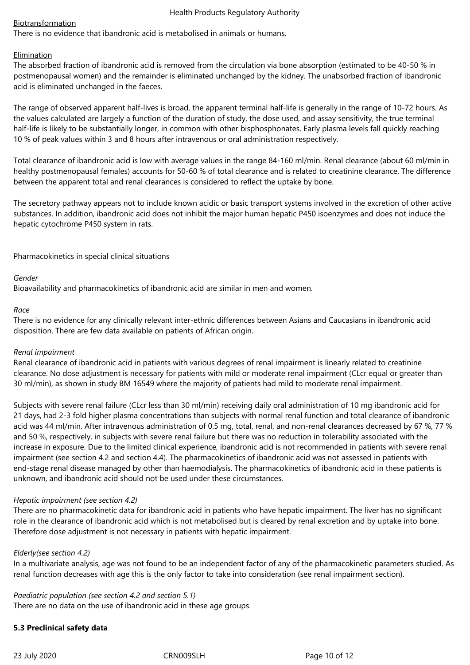## Biotransformation

There is no evidence that ibandronic acid is metabolised in animals or humans.

## Elimination

The absorbed fraction of ibandronic acid is removed from the circulation via bone absorption (estimated to be 40-50 % in postmenopausal women) and the remainder is eliminated unchanged by the kidney. The unabsorbed fraction of ibandronic acid is eliminated unchanged in the faeces.

The range of observed apparent half-lives is broad, the apparent terminal half-life is generally in the range of 10-72 hours. As the values calculated are largely a function of the duration of study, the dose used, and assay sensitivity, the true terminal half-life is likely to be substantially longer, in common with other bisphosphonates. Early plasma levels fall quickly reaching 10 % of peak values within 3 and 8 hours after intravenous or oral administration respectively.

Total clearance of ibandronic acid is low with average values in the range 84-160 ml/min. Renal clearance (about 60 ml/min in healthy postmenopausal females) accounts for 50-60 % of total clearance and is related to creatinine clearance. The difference between the apparent total and renal clearances is considered to reflect the uptake by bone.

The secretory pathway appears not to include known acidic or basic transport systems involved in the excretion of other active substances. In addition, ibandronic acid does not inhibit the major human hepatic P450 isoenzymes and does not induce the hepatic cytochrome P450 system in rats.

## Pharmacokinetics in special clinical situations

## *Gender*

Bioavailability and pharmacokinetics of ibandronic acid are similar in men and women.

#### *Race*

There is no evidence for any clinically relevant inter-ethnic differences between Asians and Caucasians in ibandronic acid disposition. There are few data available on patients of African origin.

#### *Renal impairment*

Renal clearance of ibandronic acid in patients with various degrees of renal impairment is linearly related to creatinine clearance. No dose adjustment is necessary for patients with mild or moderate renal impairment (CLcr equal or greater than 30 ml/min), as shown in study BM 16549 where the majority of patients had mild to moderate renal impairment.

Subjects with severe renal failure (CLcr less than 30 ml/min) receiving daily oral administration of 10 mg ibandronic acid for 21 days, had 2-3 fold higher plasma concentrations than subjects with normal renal function and total clearance of ibandronic acid was 44 ml/min. After intravenous administration of 0.5 mg, total, renal, and non-renal clearances decreased by 67 %, 77 % and 50 %, respectively, in subjects with severe renal failure but there was no reduction in tolerability associated with the increase in exposure. Due to the limited clinical experience, ibandronic acid is not recommended in patients with severe renal impairment (see section 4.2 and section 4.4). The pharmacokinetics of ibandronic acid was not assessed in patients with end-stage renal disease managed by other than haemodialysis. The pharmacokinetics of ibandronic acid in these patients is unknown, and ibandronic acid should not be used under these circumstances.

#### *Hepatic impairment (see section 4.2)*

There are no pharmacokinetic data for ibandronic acid in patients who have hepatic impairment. The liver has no significant role in the clearance of ibandronic acid which is not metabolised but is cleared by renal excretion and by uptake into bone. Therefore dose adjustment is not necessary in patients with hepatic impairment.

#### *Elderly(see section 4.2)*

In a multivariate analysis, age was not found to be an independent factor of any of the pharmacokinetic parameters studied. As renal function decreases with age this is the only factor to take into consideration (see renal impairment section).

# *Paediatric population (see section 4.2 and section 5.1)*

There are no data on the use of ibandronic acid in these age groups.

# **5.3 Preclinical safety data**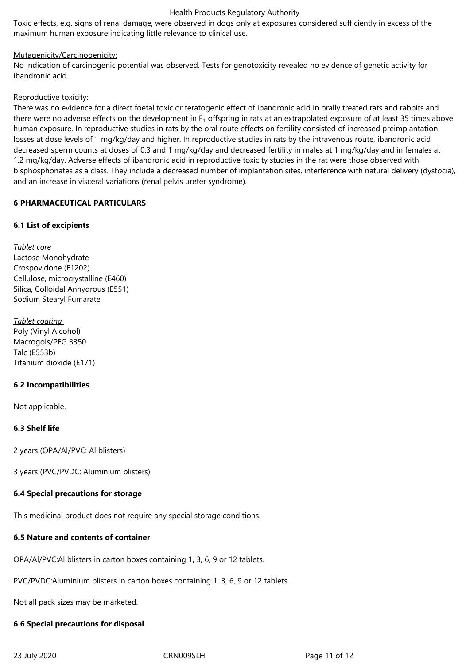Toxic effects, e.g. signs of renal damage, were observed in dogs only at exposures considered sufficiently in excess of the maximum human exposure indicating little relevance to clinical use.

## Mutagenicity/Carcinogenicity:

No indication of carcinogenic potential was observed. Tests for genotoxicity revealed no evidence of genetic activity for ibandronic acid.

## Reproductive toxicity:

There was no evidence for a direct foetal toxic or teratogenic effect of ibandronic acid in orally treated rats and rabbits and there were no adverse effects on the development in  $F_1$  offspring in rats at an extrapolated exposure of at least 35 times above human exposure. In reproductive studies in rats by the oral route effects on fertility consisted of increased preimplantation losses at dose levels of 1 mg/kg/day and higher. In reproductive studies in rats by the intravenous route, ibandronic acid decreased sperm counts at doses of 0.3 and 1 mg/kg/day and decreased fertility in males at 1 mg/kg/day and in females at 1.2 mg/kg/day. Adverse effects of ibandronic acid in reproductive toxicity studies in the rat were those observed with bisphosphonates as a class. They include a decreased number of implantation sites, interference with natural delivery (dystocia), and an increase in visceral variations (renal pelvis ureter syndrome).

## **6 PHARMACEUTICAL PARTICULARS**

# **6.1 List of excipients**

*Tablet core*  Lactose Monohydrate Crospovidone (E1202) Cellulose, microcrystalline (E460) Silica, Colloidal Anhydrous (E551) Sodium Stearyl Fumarate

*Tablet coating*  Poly (Vinyl Alcohol) Macrogols/PEG 3350 Talc (E553b) Titanium dioxide (E171)

# **6.2 Incompatibilities**

Not applicable.

# **6.3 Shelf life**

2 years (OPA/Al/PVC: Al blisters)

3 years (PVC/PVDC: Aluminium blisters)

# **6.4 Special precautions for storage**

This medicinal product does not require any special storage conditions.

# **6.5 Nature and contents of container**

OPA/Al/PVC:Al blisters in carton boxes containing 1, 3, 6, 9 or 12 tablets.

PVC/PVDC:Aluminium blisters in carton boxes containing 1, 3, 6, 9 or 12 tablets.

Not all pack sizes may be marketed.

#### **6.6 Special precautions for disposal**